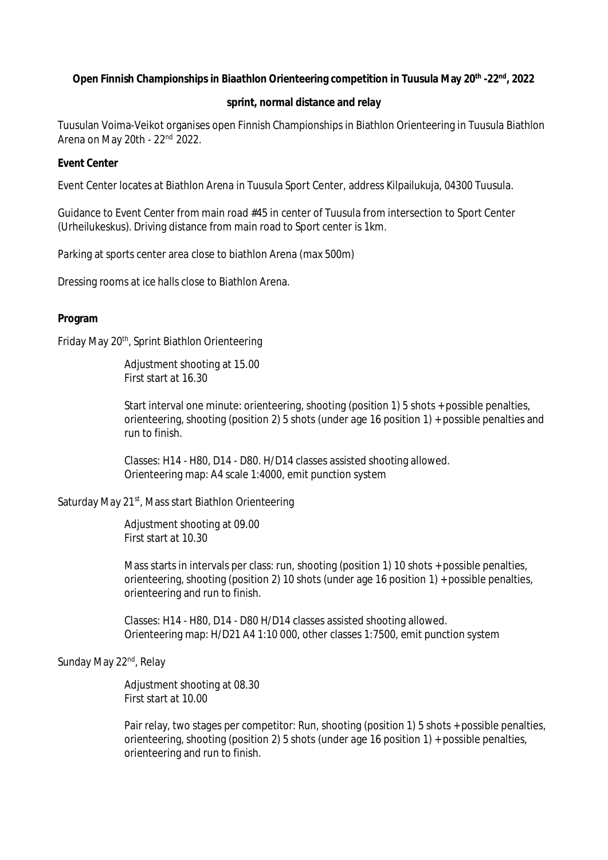**Open Finnish Championships in Biaathlon Orienteering competition in Tuusula May 20th -22nd, 2022**

## **sprint, normal distance and relay**

Tuusulan Voima-Veikot organises open Finnish Championships in Biathlon Orienteering in Tuusula Biathlon Arena on May 20th - 22nd 2022.

**Event Center**

Event Center locates at Biathlon Arena in Tuusula Sport Center, address Kilpailukuja, 04300 Tuusula.

Guidance to Event Center from main road #45 in center of Tuusula from intersection to Sport Center (Urheilukeskus). Driving distance from main road to Sport center is 1km.

Parking at sports center area close to biathlon Arena (max 500m)

Dressing rooms at ice halls close to Biathlon Arena.

**Program**

Friday May 20<sup>th</sup>, Sprint Biathlon Orienteering

Adjustment shooting at 15.00 First start at 16.30

Start interval one minute: orienteering, shooting (position 1) 5 shots + possible penalties, orienteering, shooting (position 2) 5 shots (under age 16 position 1) + possible penalties and run to finish.

Classes: H14 - H80, D14 - D80. H/D14 classes assisted shooting allowed. Orienteering map: A4 scale 1:4000, emit punction system

Saturday May 21<sup>st</sup>, Mass start Biathlon Orienteering

Adjustment shooting at 09.00 First start at 10.30

Mass starts in intervals per class: run, shooting (position 1) 10 shots + possible penalties, orienteering, shooting (position 2) 10 shots (under age 16 position 1) + possible penalties, orienteering and run to finish.

Classes: H14 - H80, D14 - D80 H/D14 classes assisted shooting allowed. Orienteering map: H/D21 A4 1:10 000, other classes 1:7500, emit punction system

Sunday May 22<sup>nd</sup>, Relay

Adjustment shooting at 08.30 First start at 10.00

Pair relay, two stages per competitor: Run, shooting (position 1) 5 shots + possible penalties, orienteering, shooting (position 2) 5 shots (under age 16 position 1) + possible penalties, orienteering and run to finish.